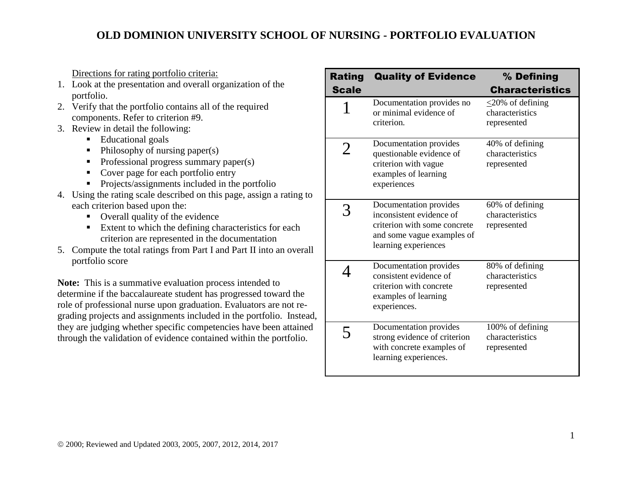Directions for rating portfolio criteria:

- 1. Look at the presentation and overall organization of the portfolio.
- 2. Verify that the portfolio contains all of the required components. Refer to criterion #9.
- 3. Review in detail the following:
	- Educational goals
	- $\blacksquare$  Philosophy of nursing paper(s)
	- Professional progress summary paper(s)
	- Cover page for each portfolio entry
	- **Projects/assignments included in the portfolio**
- 4. Using the rating scale described on this page, assign a rating to each criterion based upon the:
	- Overall quality of the evidence
	- **Extent to which the defining characteristics for each** criterion are represented in the documentation
- 5. Compute the total ratings from Part I and Part II into an overall portfolio score

**Note:** This is a summative evaluation process intended to determine if the baccalaureate student has progressed toward the role of professional nurse upon graduation. Evaluators are not regrading projects and assignments included in the portfolio. Instead, they are judging whether specific competencies have been attained through the validation of evidence contained within the portfolio.

| <b>Rating</b><br><b>Scale</b> | <b>Quality of Evidence</b>                                                                                                               | % Defining<br><b>Characteristics</b>                     |
|-------------------------------|------------------------------------------------------------------------------------------------------------------------------------------|----------------------------------------------------------|
|                               | Documentation provides no<br>or minimal evidence of<br>criterion.                                                                        | $\leq$ 20% of defining<br>characteristics<br>represented |
| 2                             | Documentation provides<br>questionable evidence of<br>criterion with vague<br>examples of learning<br>experiences                        | 40% of defining<br>characteristics<br>represented        |
|                               | Documentation provides<br>inconsistent evidence of<br>criterion with some concrete<br>and some vague examples of<br>learning experiences | 60% of defining<br>characteristics<br>represented        |
|                               | Documentation provides<br>consistent evidence of<br>criterion with concrete<br>examples of learning<br>experiences.                      | 80% of defining<br>characteristics<br>represented        |
| 5                             | Documentation provides<br>strong evidence of criterion<br>with concrete examples of<br>learning experiences.                             | 100% of defining<br>characteristics<br>represented       |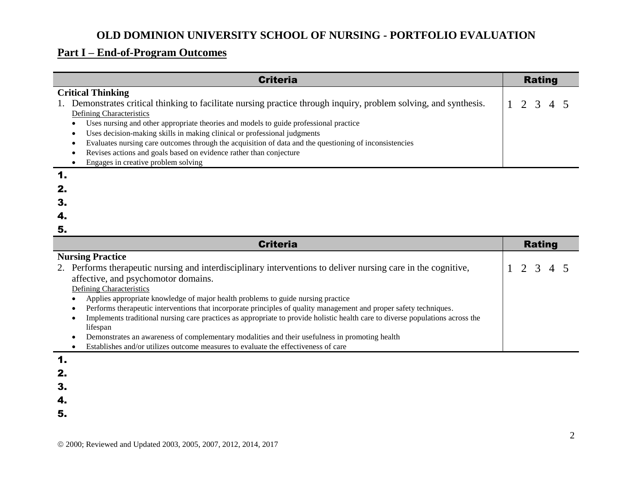# **Part I – End-of-Program Outcomes**

| <b>Criteria</b>                                                                                                |                 |  |  |  |
|----------------------------------------------------------------------------------------------------------------|-----------------|--|--|--|
| <b>Critical Thinking</b>                                                                                       |                 |  |  |  |
| Demonstrates critical thinking to facilitate nursing practice through inquiry, problem solving, and synthesis. | $1\ 2\ 3\ 4\ 5$ |  |  |  |
| Defining Characteristics                                                                                       |                 |  |  |  |
| Uses nursing and other appropriate theories and models to guide professional practice                          |                 |  |  |  |
| Uses decision-making skills in making clinical or professional judgments                                       |                 |  |  |  |
| Evaluates nursing care outcomes through the acquisition of data and the questioning of inconsistencies         |                 |  |  |  |
| Revises actions and goals based on evidence rather than conjecture                                             |                 |  |  |  |
| Engages in creative problem solving                                                                            |                 |  |  |  |
| 1.                                                                                                             |                 |  |  |  |

| 2. |  |  |  |
|----|--|--|--|
| 3. |  |  |  |
| 4. |  |  |  |
| 5. |  |  |  |

| <b>Criteria</b>                                                                                                                | <b>Rating</b> |
|--------------------------------------------------------------------------------------------------------------------------------|---------------|
| <b>Nursing Practice</b>                                                                                                        |               |
| 2. Performs therapeutic nursing and interdisciplinary interventions to deliver nursing care in the cognitive,                  | 2 3 4 5       |
| affective, and psychomotor domains.                                                                                            |               |
| Defining Characteristics                                                                                                       |               |
| Applies appropriate knowledge of major health problems to guide nursing practice                                               |               |
| Performs therapeutic interventions that incorporate principles of quality management and proper safety techniques.             |               |
| Implements traditional nursing care practices as appropriate to provide holistic health care to diverse populations across the |               |
| lifespan                                                                                                                       |               |
| Demonstrates an awareness of complementary modalities and their usefulness in promoting health                                 |               |
| Establishes and/or utilizes outcome measures to evaluate the effectiveness of care                                             |               |

#### 1.

- 2.
- 3.
- 4.
- 5.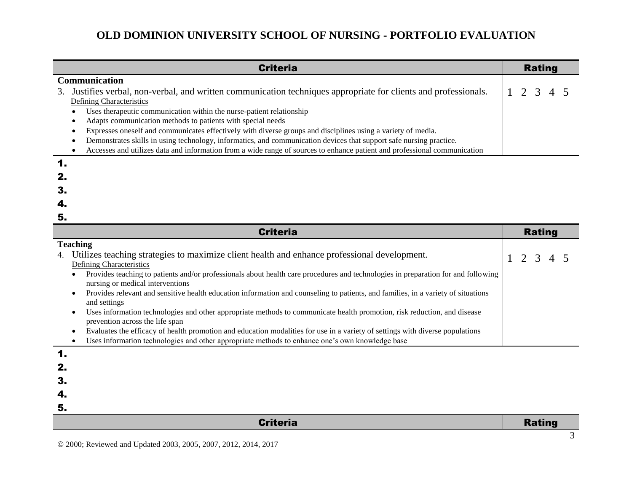| <b>Criteria</b>                                                                                                           |         |  |
|---------------------------------------------------------------------------------------------------------------------------|---------|--|
| Communication                                                                                                             |         |  |
| Justifies verbal, non-verbal, and written communication techniques appropriate for clients and professionals.<br>3.       | 2 3 4 5 |  |
| <b>Defining Characteristics</b>                                                                                           |         |  |
| Uses therapeutic communication within the nurse-patient relationship                                                      |         |  |
| Adapts communication methods to patients with special needs                                                               |         |  |
| Expresses oneself and communicates effectively with diverse groups and disciplines using a variety of media.              |         |  |
| Demonstrates skills in using technology, informatics, and communication devices that support safe nursing practice.       |         |  |
| Accesses and utilizes data and information from a wide range of sources to enhance patient and professional communication |         |  |
|                                                                                                                           |         |  |

| 4.                                                                                                                                             |               |
|------------------------------------------------------------------------------------------------------------------------------------------------|---------------|
| 5.                                                                                                                                             |               |
| <b>Criteria</b>                                                                                                                                | <b>Rating</b> |
| <b>Teaching</b>                                                                                                                                |               |
| Utilizes teaching strategies to maximize client health and enhance professional development.<br>4.                                             | 2 3 4 5       |
| <b>Defining Characteristics</b>                                                                                                                |               |
| Provides teaching to patients and/or professionals about health care procedures and technologies in preparation for and following              |               |
| nursing or medical interventions                                                                                                               |               |
| Provides relevant and sensitive health education information and counseling to patients, and families, in a variety of situations<br>$\bullet$ |               |
| and settings                                                                                                                                   |               |
| Uses information technologies and other appropriate methods to communicate health promotion, risk reduction, and disease                       |               |
| prevention across the life span                                                                                                                |               |

Evaluates the efficacy of health promotion and education modalities for use in a variety of settings with diverse populations

|   | Uses information technologies and other appropriate methods to enhance one's own knowledge base |
|---|-------------------------------------------------------------------------------------------------|
| И |                                                                                                 |

| <b>Criteria</b> | <b>Rating</b> |
|-----------------|---------------|
| 5.              |               |
| 4.              |               |
| 3.              |               |
| Ζ.              |               |

2. 3.

 $\overline{\phantom{0}}$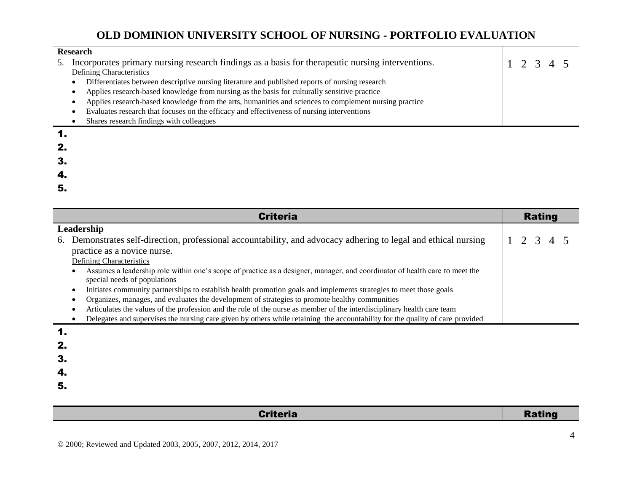| <b>Research</b> |                                                                                                        |  |           |  |
|-----------------|--------------------------------------------------------------------------------------------------------|--|-----------|--|
| 5.              | Incorporates primary nursing research findings as a basis for the rapeutic nursing interventions.      |  | 1 2 3 4 5 |  |
|                 | Defining Characteristics                                                                               |  |           |  |
|                 | Differentiates between descriptive nursing literature and published reports of nursing research        |  |           |  |
|                 | Applies research-based knowledge from nursing as the basis for culturally sensitive practice           |  |           |  |
|                 | Applies research-based knowledge from the arts, humanities and sciences to complement nursing practice |  |           |  |
|                 | Evaluates research that focuses on the efficacy and effectiveness of nursing interventions             |  |           |  |
|                 | Shares research findings with colleagues                                                               |  |           |  |
|                 |                                                                                                        |  |           |  |

| $\mathbf 1$ . |  |  |  |
|---------------|--|--|--|
| 2.            |  |  |  |
| 3.            |  |  |  |
| 4.            |  |  |  |
| 5.            |  |  |  |

| <b>Criteria</b>                                                                                                                                             | <b>Rating</b> |
|-------------------------------------------------------------------------------------------------------------------------------------------------------------|---------------|
| Leadership                                                                                                                                                  |               |
| Demonstrates self-direction, professional accountability, and advocacy adhering to legal and ethical nursing<br>6.                                          | 1 2 3 4 5     |
| practice as a novice nurse.                                                                                                                                 |               |
| Defining Characteristics                                                                                                                                    |               |
| Assumes a leadership role within one's scope of practice as a designer, manager, and coordinator of health care to meet the<br>special needs of populations |               |
| Initiates community partnerships to establish health promotion goals and implements strategies to meet those goals                                          |               |
| Organizes, manages, and evaluates the development of strategies to promote healthy communities                                                              |               |
| Articulates the values of the profession and the role of the nurse as member of the interdisciplinary health care team                                      |               |
| Delegates and supervises the nursing care given by others while retaining the accountability for the quality of care provided                               |               |

#### 1. 2.

3.

- 
- 4.
- 5.

#### Criteria **Criteria** Rating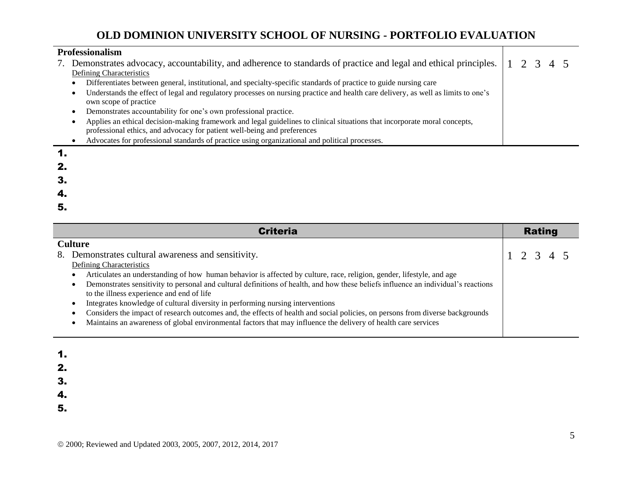| Professionalism |                                                                                                                                                                                                       |  |  |  |
|-----------------|-------------------------------------------------------------------------------------------------------------------------------------------------------------------------------------------------------|--|--|--|
|                 | 7. Demonstrates advocacy, accountability, and adherence to standards of practice and legal and ethical principles. 1 2 3 4 5                                                                          |  |  |  |
|                 | Defining Characteristics                                                                                                                                                                              |  |  |  |
|                 | Differentiates between general, institutional, and specialty-specific standards of practice to guide nursing care<br>٠                                                                                |  |  |  |
|                 | Understands the effect of legal and regulatory processes on nursing practice and health care delivery, as well as limits to one's<br>٠<br>own scope of practice                                       |  |  |  |
|                 | Demonstrates accountability for one's own professional practice.                                                                                                                                      |  |  |  |
|                 | Applies an ethical decision-making framework and legal guidelines to clinical situations that incorporate moral concepts,<br>professional ethics, and advocacy for patient well-being and preferences |  |  |  |
|                 | Advocates for professional standards of practice using organizational and political processes.                                                                                                        |  |  |  |
|                 |                                                                                                                                                                                                       |  |  |  |

| $\mathbf 1$ . |  |  |  |
|---------------|--|--|--|
| 2.            |  |  |  |
| 3.            |  |  |  |
| 4.            |  |  |  |
| 5.            |  |  |  |

| <b>Criteria</b>                                                                                                                    |  | <b>Rating</b>   |  |
|------------------------------------------------------------------------------------------------------------------------------------|--|-----------------|--|
| <b>Culture</b>                                                                                                                     |  |                 |  |
| Demonstrates cultural awareness and sensitivity.<br>8.                                                                             |  | $1 \t2 \t3 \t4$ |  |
| <b>Defining Characteristics</b>                                                                                                    |  |                 |  |
| Articulates an understanding of how human behavior is affected by culture, race, religion, gender, lifestyle, and age              |  |                 |  |
| Demonstrates sensitivity to personal and cultural definitions of health, and how these beliefs influence an individual's reactions |  |                 |  |
| to the illness experience and end of life                                                                                          |  |                 |  |
| Integrates knowledge of cultural diversity in performing nursing interventions                                                     |  |                 |  |
| Considers the impact of research outcomes and, the effects of health and social policies, on persons from diverse backgrounds      |  |                 |  |
| Maintains an awareness of global environmental factors that may influence the delivery of health care services                     |  |                 |  |
|                                                                                                                                    |  |                 |  |

| 1. |  |  |  |
|----|--|--|--|
| 2. |  |  |  |
| 3. |  |  |  |
| 4. |  |  |  |
| 5. |  |  |  |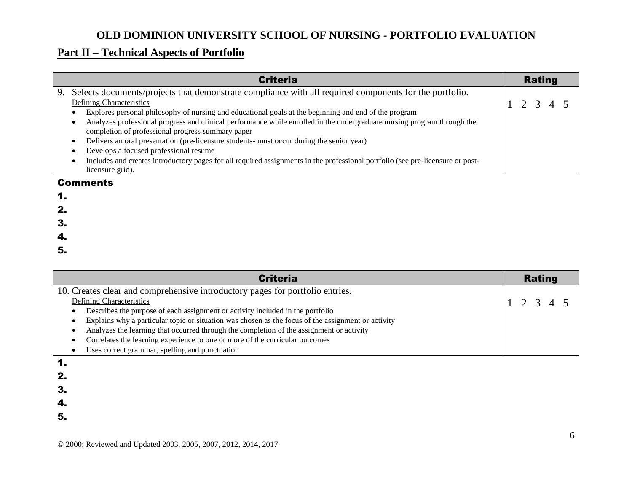### **Part II – Technical Aspects of Portfolio**

|    | <b>Criteria</b>                                                                                                                | <b>Rating</b> |
|----|--------------------------------------------------------------------------------------------------------------------------------|---------------|
| 9. | Selects documents/projects that demonstrate compliance with all required components for the portfolio.                         |               |
|    | Defining Characteristics                                                                                                       | 1 2 3 4 5     |
|    | Explores personal philosophy of nursing and educational goals at the beginning and end of the program                          |               |
|    | Analyzes professional progress and clinical performance while enrolled in the undergraduate nursing program through the        |               |
|    | completion of professional progress summary paper                                                                              |               |
|    | Delivers an oral presentation (pre-licensure students- must occur during the senior year)                                      |               |
|    | Develops a focused professional resume                                                                                         |               |
|    | Includes and creates introductory pages for all required assignments in the professional portfolio (see pre-licensure or post- |               |
|    | licensure grid).                                                                                                               |               |
|    |                                                                                                                                |               |

#### Comments

| ٧ |  |  |
|---|--|--|
|   |  |  |

- 2.
- 3.
- 
- 4.
- 5.

| <b>Criteria</b>                                                                                    | <b>Rating</b> |
|----------------------------------------------------------------------------------------------------|---------------|
| 10. Creates clear and comprehensive introductory pages for portfolio entries.                      |               |
| Defining Characteristics                                                                           | 12345         |
| Describes the purpose of each assignment or activity included in the portfolio                     |               |
| Explains why a particular topic or situation was chosen as the focus of the assignment or activity |               |
| Analyzes the learning that occurred through the completion of the assignment or activity           |               |
| Correlates the learning experience to one or more of the curricular outcomes                       |               |
| Uses correct grammar, spelling and punctuation                                                     |               |

1.

2.

3.

4.

5.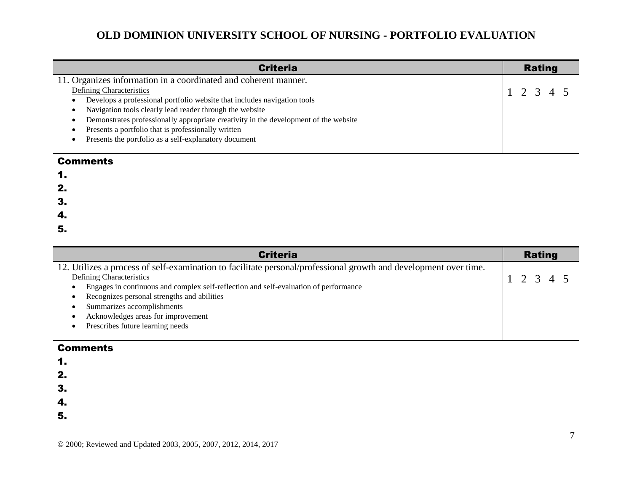| <b>Criteria</b>                                                                      | <b>Rating</b> |
|--------------------------------------------------------------------------------------|---------------|
| 11. Organizes information in a coordinated and coherent manner.                      |               |
| <b>Defining Characteristics</b>                                                      | 1 2 3 4 5     |
| Develops a professional portfolio website that includes navigation tools             |               |
| Navigation tools clearly lead reader through the website                             |               |
| Demonstrates professionally appropriate creativity in the development of the website |               |
| Presents a portfolio that is professionally written                                  |               |
| Presents the portfolio as a self-explanatory document                                |               |
|                                                                                      |               |

#### **Comments**

| I<br>٧ |  |
|--------|--|
|        |  |

2.

3.

4.

5.

| <b>Criteria</b>                                                                                                  | <b>Rating</b> |
|------------------------------------------------------------------------------------------------------------------|---------------|
| 12. Utilizes a process of self-examination to facilitate personal/professional growth and development over time. |               |
| <b>Defining Characteristics</b>                                                                                  | 1 2 3 4 5     |
| Engages in continuous and complex self-reflection and self-evaluation of performance                             |               |
| Recognizes personal strengths and abilities                                                                      |               |
| Summarizes accomplishments                                                                                       |               |
| Acknowledges areas for improvement                                                                               |               |
| Prescribes future learning needs                                                                                 |               |
|                                                                                                                  |               |

#### **Comments**

1.

2.

3.

4.

5.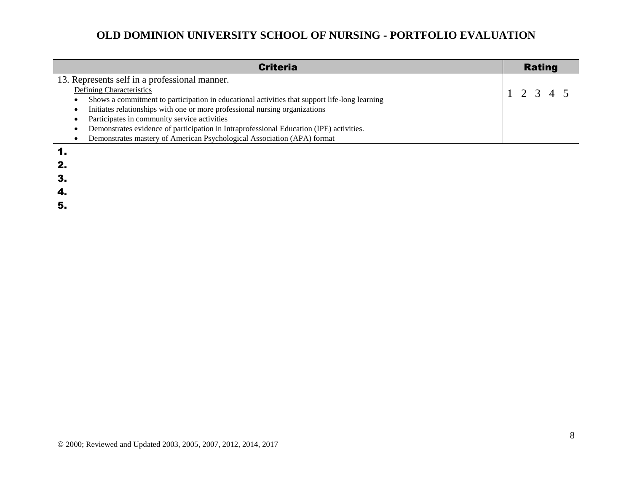| <b>Criteria</b>                                                                               | <b>Rating</b> |
|-----------------------------------------------------------------------------------------------|---------------|
| 13. Represents self in a professional manner.                                                 |               |
| <b>Defining Characteristics</b>                                                               | 1 2 3 4 5     |
| Shows a commitment to participation in educational activities that support life-long learning |               |
| Initiates relationships with one or more professional nursing organizations                   |               |
| Participates in community service activities                                                  |               |
| Demonstrates evidence of participation in Intraprofessional Education (IPE) activities.       |               |
| Demonstrates mastery of American Psychological Association (APA) format                       |               |
| 1.                                                                                            |               |

2. 3. 4. 5.